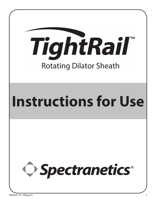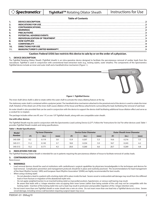## **Table of Contents**

| 1.  |  |
|-----|--|
| 2.  |  |
| 3.  |  |
| 4.  |  |
| 5.  |  |
| 6.  |  |
| 7.  |  |
| 8.  |  |
| 9.  |  |
| 10. |  |
| 11. |  |

### **Caution: Federal (USA) law restricts this device to sale by or on the order of a physician.**

### **1. DEVICE DESCRIPTION**

The TightRail Rotating Dilator Sheath (TightRail sheath) is an intra-operative device designed to facilitate the percutaneous removal of cardiac leads from the vasculature. TightRail is used in conjunction with conventional lead extraction tools (e.g., locking stylets, outer sheaths). The components of the Spectranetics TightRail device include an inner and outer shaft and a handheld drive mechanism (Figure 1.).



#### **Figure 1. TightRail Device**

The inner shaft (drive shaft) is able to rotate within the outer shaft to activate the rotary dilating feature at the tip.

The stationary outer shaft is contained within a polymer jacket. The handheld drive mechanism attached to the proximal end of the device is used to rotate the inner shaft. Rotation of the distal cam of the inner shaft causes dilation of the tissue and fibrous attachments surrounding the lead, facilitating the removal of said lead.

An outer sheath is also provided that can be used in conjunction with the device to support the device shaft facilitating additional tissue dilation effect and serve as a conduit for re-implant.

The package includes either one 9F, one 11F, or one 13F TightRail sheath, along with one compatible outer sheath.

#### **Use with other devices**

The TightRail Sheath may be used in conjunction with the Spectranetics Lead Locking Device (LLD™). Follow the "Instructions for Use" for other devices used. Table 1 provides TightRail Sheath models and sizing specifications.

#### **Table 1. Model Specifications**

| <b>Model</b><br><b>Number</b> | <b>Tip Inner Diameter</b> |       |      | <b>Device Outer Diameter</b> |       |      | <b>Outer Sheath Inner Diameter</b> |       |      |
|-------------------------------|---------------------------|-------|------|------------------------------|-------|------|------------------------------------|-------|------|
|                               | (F)                       | (in.) | (mm) | (F)                          | (in.) | (mm) | (F)                                | (in.) | (mm) |
| 545-509                       | 9.2                       | 0.119 | 3.0  | 15.9                         | 0.207 | 5.3  | 16.6                               | 0.216 | 5.5  |
| 545-511                       | 11.2                      | 0.145 | 3.7  | 18.0                         | 0.234 | 5.9  | 18.7                               | 0.243 | 6.2  |
| 545-513                       | 13.2                      | 0.171 | 4.3  | 20.0                         | 0.260 | 6.6  | 20.7                               | 0.269 | 6.8  |

## **2. INDICATIONS FOR USE**

The TightRail Rotating Dilator Sheath is intended for use in patients requiring the percutaneous dilation of tissue to facilitate removal of cardiac leads.

## **3. CONTRAINDICATIONS**

None known

## **4. WARNINGS**

- Lead removal devices should be used at institutions with cardiothoracic surgical capabilities by physicians knowledgeable in the techniques and devices for lead removal. Complication prevention and management protocols should be in place and routinely practiced. The recommendations for lead management of the Heart Rhythm Society<sup>1</sup> (HRS) and European Heart Rhythm Association<sup>2</sup> (EHRA) are highly recommended for best results.
- When using a locking stylet:
	- Do not abandon a lead in a patient with a locking stylet still in place inside the lead. Severe vessel or endocardial wall damage may result from the stiffened lead or from fracture or migration of the abandoned stylet wire.
	- Do not apply weighted traction to an inserted locking stylet as myocardial avulsion, hypotension, or venous wall tearing may result.

– Be aware that leads with a J-shape retention wire occupying their inner lumen (rather than being outside of the coil) may not be compatible with the locking stylet. Insertion of the locking stylet into such a lead may result in protrusion and possible migration of the J-shape retention wire.

• Do not insert more than one TightRail sheath or outer sheath into a vein at a time. Do not insert more than one lead into a TightRail device at a time. Severe vessel damage, including venous wall laceration requiring surgical repair may occur.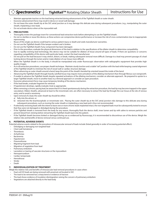## **Spectranetics®**

## **TightRail™** Rotating Dilator Sheath | Instructions for Use

- Maintain appropriate traction on the lead being extracted during advancement of the TightRail sheath or outer sheath.
- Excessive advancement force may result in device or vessel wall damage.
- Do not leave the outer sheath tip at the SVC-atrial junction as it may damage this delicate area during subsequent procedures. (e.g., manipulating the outer sheath, implanting a new lead).
- Do not activate device when at the myocardial wall.

## **5. PRECAUTIONS**

- Thoroughly review the package insert for conventional lead extraction tools before attempting to use the TightRail sheath.
- Do not re-sterilize or reuse this device, as these actions can compromise device performance or increase the risk of cross-contamination due to inappropriate reprocessing.
- Reuse of this single use device could lead to serious patient injury or death and voids manufacturer warranties.
- Do not use the TightRail sheath if the tamper-evident seal is broken.
- Do not use the TightRail sheath if any component has been damaged.
- Prior to the procedure, evaluate the physical dimensions of the lead in relation to the specifications of the dilator sheath to determine compatibility.
- Due to rapidly evolving lead technology, this device may not be suitable for dilation of tissue around all types of leads. If there are questions or concerns regarding compatibility of this device with particular leads, contact the lead manufacturer.
- Do not pull on the lead because it may stretch, distort, or break, making subsequent removal more difficult. Damage to a lead may prevent passage of a lead locking device through the lumen and/or make dilation of scar tissue more difficult.
- When the TightRail sheath is in the body, it should be manipulated only under fluoroscopic observation with radiographic equipment that provides high quality images.
- As in all extraction procedures, use proper sheath technique. Maintain sturdy traction and a stable "rail" position with the lead while keeping coaxial alignment of the TightRail sheath to minimize the risk of vessel wall or cardiac structure damage.
- When advancing an outer sheath around a bend, keep the point of the sheath's beveled tip oriented toward the inside of the bend.
- Advancing the TightRail sheath through heavily calcified tissue may require more activations of the dilating mechanism than through fibrous scar overgrowth. • If unable to advance the TightRail sheath despite repeated activations of the dilating mechanism, consider an alternate approach. Be prepared to upsize to a larger TightRail sheath, move to another lead, try a femoral approach or consider an open procedure.
- Excessive advancement force may cause temporary binding of the device mechanism.
- If the lead breaks, evaluate fragment for retrieval.
- If hypotension develops, rapidly evaluate; treat as appropriate.
- When removing a chronic pacing lead, be aware that if it is freed spontaneously during the extraction procedure, the lead tip may become trapped in the upper vasculature. Dilator sheaths, advanced at least to the innominate vein, are often necessary to extract the lead tip through the scar tissue at the site of venous entry, and to avoid a venotomy.
- Upon removal of a lead, the outer sheath tip should be either.
- a) fully into the atrium, or
- b) retracted into the brachiocephalic or innominate vein. Placing the outer sheath tip at the SVC-atrial junction risks damage to this delicate area during subsequent procedures, such as moving the outer sheath or implanting a new lead and is thus not recommended.
- If selectively removing leads with the intent to leave one or more chronic leads implanted intact, the non-targeted leads must be subsequently tested to ensure that they were not damaged or dislodged during the procedure.
- If the TightRail sheath is removed from the body for any reason, thoroughly flush the device shaft, inner lumen and tip with saline to remove particles and prevent blood from sticking before reinserting the TightRail sheath back into the patient.
- If the TightRail sheath becomes kinked or damaged during use as evidenced by fluoroscopy, it is recommended to discontinue use of the device. Weigh the relative risks and benefits of device removal versus continued use.

## **6. POTENTIAL ADVERSE EVENTS**

Potential adverse events related to the procedure of intravascular removal of leads include (listed generally in order of increasing potential effect):

- Dislodging or damaging non-targeted lead
- Chest wall hematoma
- **Thrombosis**
- **Arrhythmias**
- **Bacteremia**
- **Hypotension**
- **Pneumothorax**
- Migrating fragment from lead
- Migration of vegetation from lead
- Pulmonary embolism
- Laceration or tearing of vascular structures or the myocardium
- Hemopericardium
- Cardiac tamponade
- Hemothorax • Stroke
- Death

## **7. INDIVIDUALIZATION OF TREATMENT**

Weigh the relative risks and benefits of intravascular lead removal procedures in cases when:

- Dual coil ICD leads are being removed with proximal coil located in SVC
- The lead to be removed has a sharp bend or evidence of fracture
- The lead shows evidence of insulation disintegration raising the concern of pulmonary embolism
- Vegetations are attached directly to the lead body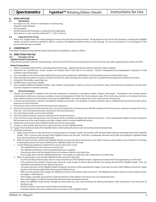## **8. HOW SUPPLIED**

## **8.1 Sterilization**

- For single use only. Not for re-sterilization or reprocessing.
- Ethylene Oxide Sterilized

**Spectranetics®** 

- Non-pyrogenic
- Sterility guaranteed if package is unopened and undamaged.
- Store device in a dry cool place (below 60° C / 140° F) until use.

### **8.2 Inpsection Prior to Use**

• Before use, visually inspect the sterile package to ensure that seals have not been broken. All equipment to be used for the procedure, including the TightRail sheath, should be examined carefully for defects. Examine the TightRail sheath for kinks or other damage. Do not use the product if it is damaged or if the Use-by Date has been exceeded.

## **9. COMPATIBILITY**

Information for determining TightRail sheath dimensional compatibility is shown in Table 1.

## **10. DIRECTIONS FOR USE**

**10.1 Procedure Set Up**

## **TightRail Sheath Preparations:**

Using sterile technique, open the sterile package. Remove the lid from the tray and gently lift the device from the tray while supporting the handle and shaft.

### **Patient Preparations:**

- 1. Obtain a thorough patient history, including patient blood type. Appropriate blood products should be readily available.
- 2. Determine the manufacturer, model number and implant date of the lead to be removed. Perform radiographic/echocardiographic evaluation of lead condition, type and position.
- 3. Use a procedure room that has high quality fluoroscopy, pacing equipment, defibrillator, and thoracotomy and pericardiocentesis trays.
- 4. Prep and drape the patient's chest for possible thoracotomy; prep and drape the patient's groin for a possible femoral approach extraction procedure.
- 5. Arrange for immediate surgical back-up.
- 6. Establish back-up pacing as needed.
- 7. Have available additional TightRail sheaths, other sheaths, locking stylets, stylets to unscrew active fixation leads, snares (femoral workstation) and any other accessory equipment deemed necessary.

### **10.2 Clinical Technique**

- 1. Patients are prepared for multiple lead extraction approaches, including an emergency cardiac surgical intervention. Preparations may include: general endotracheal anesthesia or conscious sedation, shave and preparation of both the chest and groin areas, ECG monitoring, insertion of an arterial line and a Foley catheter, presence of instruments for pacing and defibrillation, an electrosurgical unit, and a sternal saw for emergencies.
- 2. A temporary pacing lead is inserted in all patients needing a pacemaker. An exception is made for patients with an implanted permanent pacemaker whose leads are not to be extracted.
- 3. Fluoroscopy will be used to monitor all transvenous maneuvers.
- 4. Expose the proximal end of the lead and sever any suture holding the anchoring sleeve. Debride overgrowth from the lead as required to expose the venous entry site. Sever the lead terminal pin and remove the anchoring sleeve.
- 5. For active fixation leads, unscrew the lead helix.
- 6. Sever the lead terminal pin connector and remove the anchoring sleeve.
- 7. Insert and lock a Lead Locking Device into the lead as distal as possible and deploy the locking mechanism. Secure appropriate lengths of suture material to the proximal end of the lead insulation and high voltage cables to provide additional traction.
- 8. Hydrate the inner lumen of the TightRail sheath and wet the outer jacket.
- 9. If using an outer sheath, flush the inner lumen and place over the TightRail sheath.
- 10. Support the handle and shaft of the TightRail device while loading the device onto the locking stylet and target lead.
- 11. Extraction technique:
	- a. Apply sturdy traction on the lead and/or its locking stylet to maintain a stable "rail" position with the lead while keeping coaxial alignment of the TightRail sheath. This is critical to safe passage of the TightRail sheath over the lead. If traction is inadequate, the lead may buckle, precluding the TightRail sheath from advancing along the appropriate path.
	- b. With the lead in tension, advance the TightRail sheath over the lead until an obstruction is met. When using an outer sheath, use an "inchworm" technique to alternately advance the outer sheath and the TightRail sheath over the lead.
	- c. Use the following guidelines to determine if a tissue obstruction is met:
		- The TightRail sheath will not advance into the vein.
		- The TightRail sheath bows when longitudinal pressure is applied.
		- Fluoroscopy shows that the sheath tip does not advance relative to the lead body.
		- Fluoroscopy shows that the TightRail sheath tip is not caught on a lead electrode, a lead bend, or another lead.
	- d. When an obstruction is met and the TightRail sheath cannot be advanced:
		- Use AP and oblique fluoroscopic views to ensure that the tip of the TightRail sheath is aligned and coaxial with the longitudinal axis of the lead.
		- If the optional outer sheath is being used, retract the outer sheath so that its distal end does not overlap the tip of the TightRail sheath. Press the TightRail sheath gently into the obstructing tissue.
		- Use gentle pressure on the TightRail sheath to advance the device while squeezing the trigger to activate the inner shaft's dilating mechanism. Apply traction to the locking stylet while advancing and dilating tissue.
		- With each full squeeze of the trigger, the dilating mechanism will extend, rotate, and retract. The dilating mechanism retracts into the sheath tip when the trigger is fully released.
		- If the trigger is partially squeezed the rotational direction of the dilation mechanism may not change directions.
		- Return the trigger to a fully forward position between each subsequent squeeze.
		- When the TightRail sheath breaks through the obstruction you may stop activating the dilating mechanism while advancing to the next point of binding tissue.
		- Monitor all device maneuvers and activations by fluoroscopy.
		- If needed, advance the outer sheath to the new position of the TightRail sheath.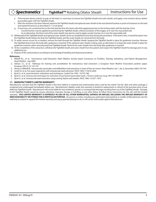**Spectranetics®** 

TightRail<sup>™</sup> Rotating Dilator Sheath | Instructions for Use

- e. If the traction device unlocks its grip on the lead, it is necessary to remove the TightRail sheath and outer sheath, and apply a new traction device, before proceeding again with the TightRail sheath.
- After the resistance has been relieved, advance the TightRail sheath and optional outer sheath to the next desired location or point of resistance on the lead and repeat the process as described in 11 (a-d) above.
- g. If necessary, use countertraction to free the lead tip from the heart wall while applying traction to the locking stylet until the lead tip is free.
	- Countertraction may be applied by positioning the TightRail sheath, without actuation of the trigger, at or near the myocardial wall.
	- As an alternative, the blunt end of the outer sheath may also be used to apply counter traction at or near the myocardial wall.
- 12. Withdrawal of the TightRail sheath and optional outer sheath can be accomplished at any time during the procedure. If the lead is free, it should be drawn into the TightRail sheath before the lead, the TightRail sheath, and the outer sheath are removed from the body.
- 13. To retain venous access for re-implant, remove the lead through the TightRail sheath, keeping the TightRail sheath in place for guidewire insertion. Remove the TightRail device from the body after guidewire is inserted. If the optional outer sheath is being used, an alternative is to keep the outer sheath in place for guidewire insertion when removing lead and TightRail sheath. Remove the outer sheath from the body after guidewire is inserted.
- 14. At the completion of the extraction, withdraw the TightRail sheath and outer sheath from the patient and inspect the TightRail sheath for damage prior to any additional use.
- 15. Dispose of the used products according to local biological handling and disposal procedures.

## **References**

- 1. Wilkoff B.L., et al. Transvenous Lead Extraction: Heart Rhythm Society Expert Consensus on Facilities, Training, Indications, and Patient Management. Heart Rhythm. July 2009.
- 2. Deharo J.C., et al. Pathways for training and accreditation for transvenous lead extraction: a European Heart Rhythm Association position paper. Europace (2012) 14, 124-134
- 3. Verma A, Wilkoff BL. Intravascular pacemaker and defibrillator lead extraction: A state-of-the-art review. Heart Rhythm, Vol. 1, No. 6, December 2004; 739-745.
- 4. Smith HJ, et al. Five-years experience with intravascular lead extraction. PACE 1994; 17:2016-2020.
- 5. Byrd CL, et al. Lead extraction: indications and techniques. Cardiol Clin 1992: 10:735-748.
- 6. Byrd CL, et al. Intravascular techniques for extraction of permanent pacemaker leads. J Thorac Cardiovasc Surg 1991:101:989-997.
- 7. Byrd CL, et al. Intravascular lead extraction using Locking Stylets and sheaths. PACE 1990: 13:1871-1875.

## **11. MANUFACTURER'S LIMITED WARRANTY**

Manufacturer warrants that the TightRail sheath is free from defects in material and workmanship when used by the stated "Use By" date and when package is unopened and undamaged immediately before use. Manufacturer's liability under this warranty is limited to replacement or refund of the purchase price of any defective TightRail sheath. Manufacturer will not be liable for any incidental, special, or consequential damages resulting from use of the TightRail sheath. Damage to the TightRail sheath caused by misuse, alteration, improper storage or handling, or any other failure to follow these Instructions for Use will void this limited warranty. **THIS LIMITED WARRANTY IS EXPRESSLY IN LIEU OF ALL OTHER WARRANTIES, EXPRESS OR IMPLIED, INCLUDING THE IMPLIED WARRANTY OF MERCHANTABILITY OR FITNESS FOR A PARTICULAR PURPOSE.** No person or entity, including any authorized representative or reseller of Manufacturer, has the authority to extend or expand this limited warranty and any purported attempt to do so will not be enforceable against Manufacturer.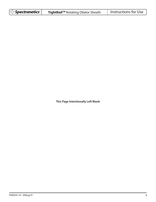| $\bigcirc$ Spectranetics $\bigcirc$ | TightRail <sup>™</sup> Rotating Dilator Sheath | Instructions for Use |
|-------------------------------------|------------------------------------------------|----------------------|
|-------------------------------------|------------------------------------------------|----------------------|

This Page Intentionally Left Blank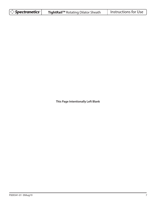| $\Diamond$ Spectranetics $\Vert$ | TightRail <sup>™</sup> Rotating Dilator Sheath | <b>Instructions for Use</b> |
|----------------------------------|------------------------------------------------|-----------------------------|
|----------------------------------|------------------------------------------------|-----------------------------|

This Page Intentionally Left Blank